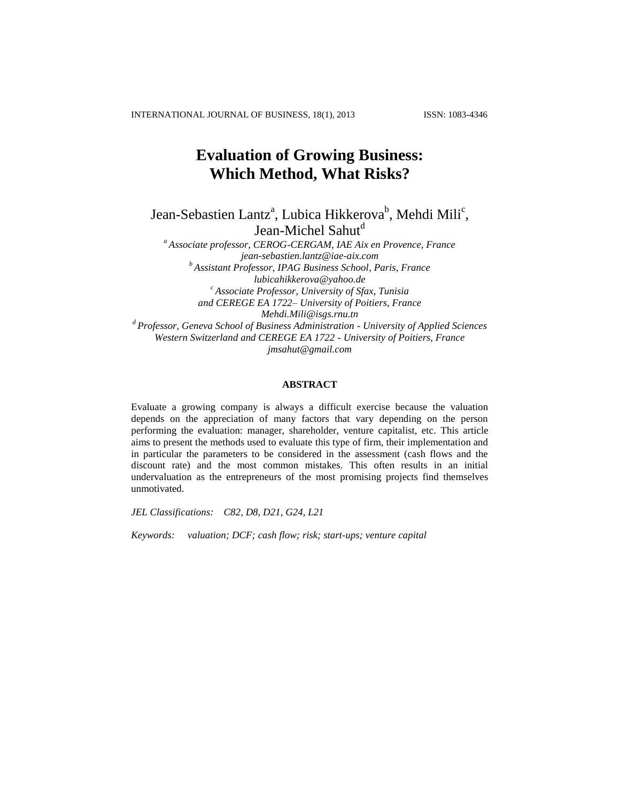INTERNATIONAL JOURNAL OF BUSINESS, 18(1), 2013 ISSN: 1083-4346

# **Evaluation of Growing Business: Which Method, What Risks?**

Jean-Sebastien Lantz<sup>a</sup>, Lubica Hikkerova<sup>b</sup>, Mehdi Mili<sup>c</sup>, Jean-Michel Sahut<sup>d</sup>

*<sup>a</sup> Associate professor, CEROG-CERGAM, IAE Aix en Provence, France [jean-sebastien.lantz@iae-aix.com](mailto:jean-sebastien.lantz@iae-aix.com) <sup>b</sup> Assistant Professor, IPAG Business School, Paris, France lubicahikkerova@yahoo.de <sup>c</sup> Associate Professor, University of Sfax, Tunisia and CEREGE EA 1722– University of Poitiers, France Mehdi.Mili@isgs.rnu.tn <sup>d</sup> Professor, Geneva School of Business Administration - University of Applied Sciences Western Switzerland and CEREGE EA 1722 - University of Poitiers, France [jmsahut@gmail.com](mailto:jmsahut@gmail.com)*

# **ABSTRACT**

Evaluate a growing company is always a difficult exercise because the valuation depends on the appreciation of many factors that vary depending on the person performing the evaluation: manager, shareholder, venture capitalist, etc. This article aims to present the methods used to evaluate this type of firm, their implementation and in particular the parameters to be considered in the assessment (cash flows and the discount rate) and the most common mistakes. This often results in an initial undervaluation as the entrepreneurs of the most promising projects find themselves unmotivated.

*JEL Classifications: C82, D8, D21, G24, L21*

*Keywords: valuation; DCF; cash flow; risk; start-ups; venture capital*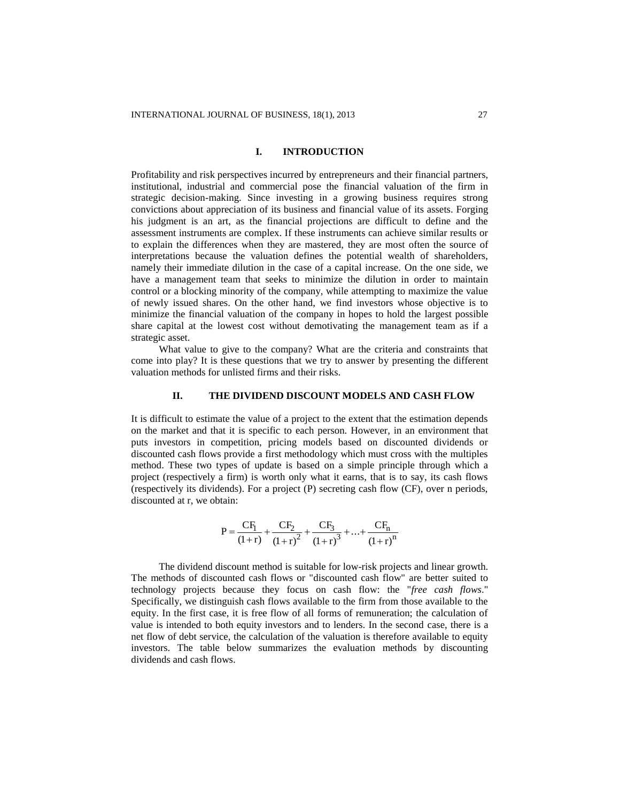#### **I. INTRODUCTION**

Profitability and risk perspectives incurred by entrepreneurs and their financial partners, institutional, industrial and commercial pose the financial valuation of the firm in strategic decision-making. Since investing in a growing business requires strong convictions about appreciation of its business and financial value of its assets. Forging his judgment is an art, as the financial projections are difficult to define and the assessment instruments are complex. If these instruments can achieve similar results or to explain the differences when they are mastered, they are most often the source of interpretations because the valuation defines the potential wealth of shareholders, namely their immediate dilution in the case of a capital increase. On the one side, we have a management team that seeks to minimize the dilution in order to maintain control or a blocking minority of the company, while attempting to maximize the value of newly issued shares. On the other hand, we find investors whose objective is to minimize the financial valuation of the company in hopes to hold the largest possible share capital at the lowest cost without demotivating the management team as if a strategic asset.

What value to give to the company? What are the criteria and constraints that come into play? It is these questions that we try to answer by presenting the different valuation methods for unlisted firms and their risks.

### **II. THE DIVIDEND DISCOUNT MODELS AND CASH FLOW**

It is difficult to estimate the value of a project to the extent that the estimation depends on the market and that it is specific to each person. However, in an environment that puts investors in competition, pricing models based on discounted dividends or discounted cash flows provide a first methodology which must cross with the multiples method. These two types of update is based on a simple principle through which a project (respectively a firm) is worth only what it earns, that is to say, its cash flows (respectively its dividends). For a project (P) secreting cash flow (CF), over n periods, discounted at r, we obtain:

$$
P = \frac{CF_1}{(1+r)} + \frac{CF_2}{(1+r)^2} + \frac{CF_3}{(1+r)^3} + ... + \frac{CF_n}{(1+r)^n}
$$

The dividend discount method is suitable for low-risk projects and linear growth. The methods of discounted cash flows or "discounted cash flow" are better suited to technology projects because they focus on cash flow: the "*free cash flows*." Specifically, we distinguish cash flows available to the firm from those available to the equity. In the first case, it is free flow of all forms of remuneration; the calculation of value is intended to both equity investors and to lenders. In the second case, there is a net flow of debt service, the calculation of the valuation is therefore available to equity investors. The table below summarizes the evaluation methods by discounting dividends and cash flows.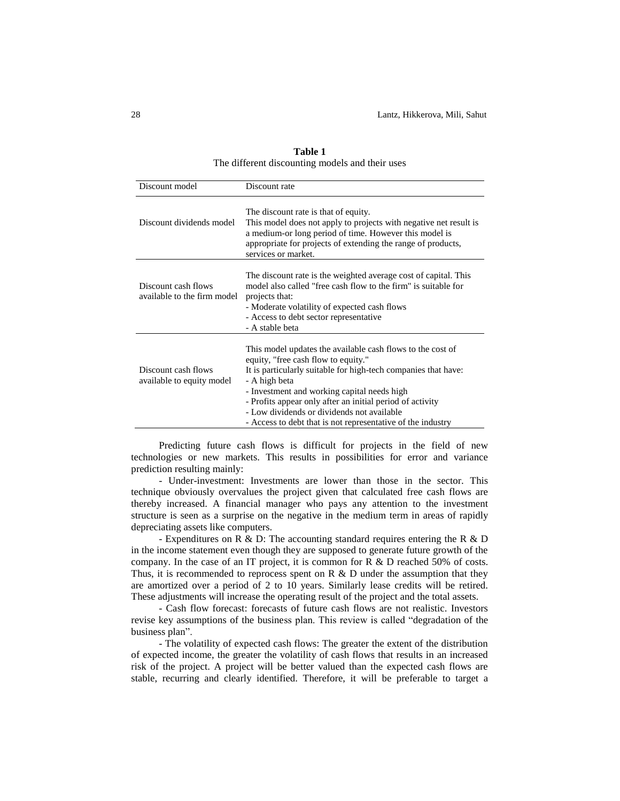| Discount model                                     | Discount rate                                                                                                                                                                                                                                                                                                                                                                                                 |
|----------------------------------------------------|---------------------------------------------------------------------------------------------------------------------------------------------------------------------------------------------------------------------------------------------------------------------------------------------------------------------------------------------------------------------------------------------------------------|
| Discount dividends model                           | The discount rate is that of equity.<br>This model does not apply to projects with negative net result is<br>a medium-or long period of time. However this model is<br>appropriate for projects of extending the range of products,<br>services or market.                                                                                                                                                    |
| Discount cash flows<br>available to the firm model | The discount rate is the weighted average cost of capital. This<br>model also called "free cash flow to the firm" is suitable for<br>projects that:<br>- Moderate volatility of expected cash flows<br>- Access to debt sector representative<br>- A stable beta                                                                                                                                              |
| Discount cash flows<br>available to equity model   | This model updates the available cash flows to the cost of<br>equity, "free cash flow to equity."<br>It is particularly suitable for high-tech companies that have:<br>- A high beta<br>- Investment and working capital needs high<br>- Profits appear only after an initial period of activity<br>- Low dividends or dividends not available<br>- Access to debt that is not representative of the industry |

**Table 1** The different discounting models and their uses

Predicting future cash flows is difficult for projects in the field of new technologies or new markets. This results in possibilities for error and variance prediction resulting mainly:

- Under-investment: Investments are lower than those in the sector. This technique obviously overvalues the project given that calculated free cash flows are thereby increased. A financial manager who pays any attention to the investment structure is seen as a surprise on the negative in the medium term in areas of rapidly depreciating assets like computers.

- Expenditures on R & D: The accounting standard requires entering the R & D in the income statement even though they are supposed to generate future growth of the company. In the case of an IT project, it is common for R & D reached 50% of costs. Thus, it is recommended to reprocess spent on R & D under the assumption that they are amortized over a period of 2 to 10 years. Similarly lease credits will be retired. These adjustments will increase the operating result of the project and the total assets.

- Cash flow forecast: forecasts of future cash flows are not realistic. Investors revise key assumptions of the business plan. This review is called "degradation of the business plan".

- The volatility of expected cash flows: The greater the extent of the distribution of expected income, the greater the volatility of cash flows that results in an increased risk of the project. A project will be better valued than the expected cash flows are stable, recurring and clearly identified. Therefore, it will be preferable to target a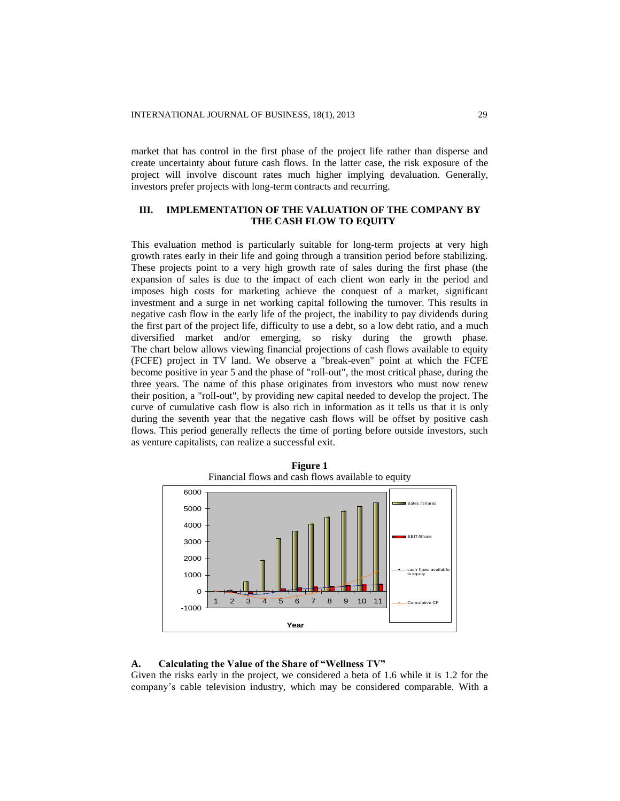market that has control in the first phase of the project life rather than disperse and create uncertainty about future cash flows. In the latter case, the risk exposure of the project will involve discount rates much higher implying devaluation. Generally, investors prefer projects with long-term contracts and recurring.

# **III. IMPLEMENTATION OF THE VALUATION OF THE COMPANY BY THE CASH FLOW TO EQUITY**

This evaluation method is particularly suitable for long-term projects at very high growth rates early in their life and going through a transition period before stabilizing. These projects point to a very high growth rate of sales during the first phase (the expansion of sales is due to the impact of each client won early in the period and imposes high costs for marketing achieve the conquest of a market, significant investment and a surge in net working capital following the turnover. This results in negative cash flow in the early life of the project, the inability to pay dividends during the first part of the project life, difficulty to use a debt, so a low debt ratio, and a much diversified market and/or emerging, so risky during the growth phase. The chart below allows viewing financial projections of cash flows available to equity (FCFE) project in TV land. We observe a "break-even" point at which the FCFE become positive in year 5 and the phase of "roll-out", the most critical phase, during the three years. The name of this phase originates from investors who must now renew their position, a "roll-out", by providing new capital needed to develop the project. The curve of cumulative cash flow is also rich in information as it tells us that it is only during the seventh year that the negative cash flows will be offset by positive cash flows. This period generally reflects the time of porting before outside investors, such as venture capitalists, can realize a successful exit.





#### **A. Calculating the Value of the Share of "Wellness TV"**

Given the risks early in the project, we considered a beta of 1.6 while it is 1.2 for the company's cable television industry, which may be considered comparable. With a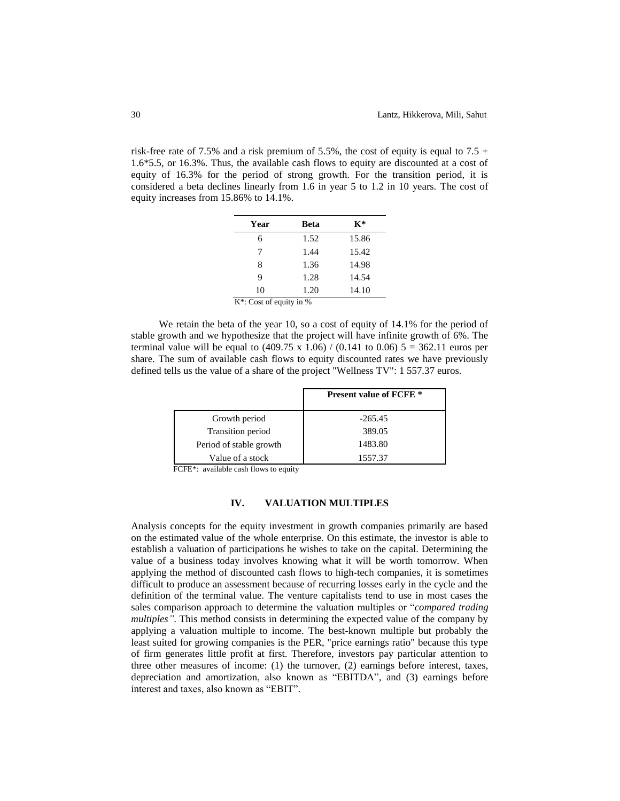risk-free rate of 7.5% and a risk premium of 5.5%, the cost of equity is equal to 7.5 + 1.6\*5.5, or 16.3%. Thus, the available cash flows to equity are discounted at a cost of equity of 16.3% for the period of strong growth. For the transition period, it is considered a beta declines linearly from 1.6 in year 5 to 1.2 in 10 years. The cost of equity increases from 15.86% to 14.1%.

| Year              | Beta | $\mathbf{K}^*$ |
|-------------------|------|----------------|
| 6                 | 1.52 | 15.86          |
| 7                 | 1.44 | 15.42          |
| 8                 | 1.36 | 14.98          |
| 9                 | 1.28 | 14.54          |
| 10<br>174 C C C C | 1.20 | 14.10          |

K\*: Cost of equity in %

We retain the beta of the year 10, so a cost of equity of 14.1% for the period of stable growth and we hypothesize that the project will have infinite growth of 6%. The terminal value will be equal to  $(409.75 \times 1.06) / (0.141 \text{ to } 0.06) 5 = 362.11 \text{ euros per}$ share. The sum of available cash flows to equity discounted rates we have previously defined tells us the value of a share of the project "Wellness TV": 1 557.37 euros.

|                         | <b>Present value of FCFE</b> * |
|-------------------------|--------------------------------|
| Growth period           | $-265.45$                      |
| Transition period       | 389.05                         |
| Period of stable growth | 1483.80                        |
| Value of a stock        | 1557.37                        |

FCFE\*: available cash flows to equity

#### **IV. VALUATION MULTIPLES**

Analysis concepts for the equity investment in growth companies primarily are based on the estimated value of the whole enterprise. On this estimate, the investor is able to establish a valuation of participations he wishes to take on the capital. Determining the value of a business today involves knowing what it will be worth tomorrow. When applying the method of discounted cash flows to high-tech companies, it is sometimes difficult to produce an assessment because of recurring losses early in the cycle and the definition of the terminal value. The venture capitalists tend to use in most cases the sales comparison approach to determine the valuation multiples or "*compared trading multiples"*. This method consists in determining the expected value of the company by applying a valuation multiple to income. The best-known multiple but probably the least suited for growing companies is the PER, "price earnings ratio" because this type of firm generates little profit at first. Therefore, investors pay particular attention to three other measures of income: (1) the turnover, (2) earnings before interest, taxes, depreciation and amortization, also known as "EBITDA", and (3) earnings before interest and taxes, also known as "EBIT".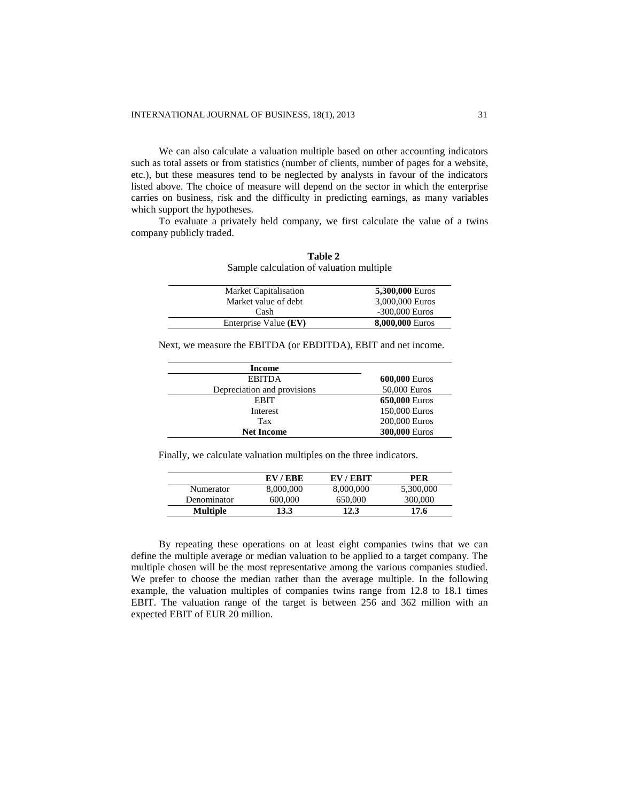We can also calculate a valuation multiple based on other accounting indicators such as total assets or from statistics (number of clients, number of pages for a website, etc.), but these measures tend to be neglected by analysts in favour of the indicators listed above. The choice of measure will depend on the sector in which the enterprise carries on business, risk and the difficulty in predicting earnings, as many variables which support the hypotheses.

To evaluate a privately held company, we first calculate the value of a twins company publicly traded.

**Table 2**

| Sample calculation of valuation multiple |                  |
|------------------------------------------|------------------|
| <b>Market Capitalisation</b>             | 5,300,000 Euros  |
| Market value of debt                     | 3,000,000 Euros  |
| Cash                                     | $-300,000$ Euros |
| Enterprise Value (EV)                    | 8,000,000 Euros  |

Next, we measure the EBITDA (or EBDITDA), EBIT and net income.

| Income                      |               |
|-----------------------------|---------------|
| <b>EBITDA</b>               | 600,000 Euros |
| Depreciation and provisions | 50,000 Euros  |
| EBIT                        | 650,000 Euros |
| Interest                    | 150,000 Euros |
| Tax                         | 200,000 Euros |
| <b>Net Income</b>           | 300,000 Euros |

Finally, we calculate valuation multiples on the three indicators.

 $\mathbf{r}$ 

|                  | EV/EBE    | EV/EBIT   | PER       |
|------------------|-----------|-----------|-----------|
| <b>Numerator</b> | 8,000,000 | 8,000,000 | 5,300,000 |
| Denominator      | 600,000   | 650,000   | 300,000   |
| Multiple         | 13.3      | 12.3      | 17.6      |

By repeating these operations on at least eight companies twins that we can define the multiple average or median valuation to be applied to a target company. The multiple chosen will be the most representative among the various companies studied. We prefer to choose the median rather than the average multiple. In the following example, the valuation multiples of companies twins range from 12.8 to 18.1 times EBIT. The valuation range of the target is between 256 and 362 million with an expected EBIT of EUR 20 million.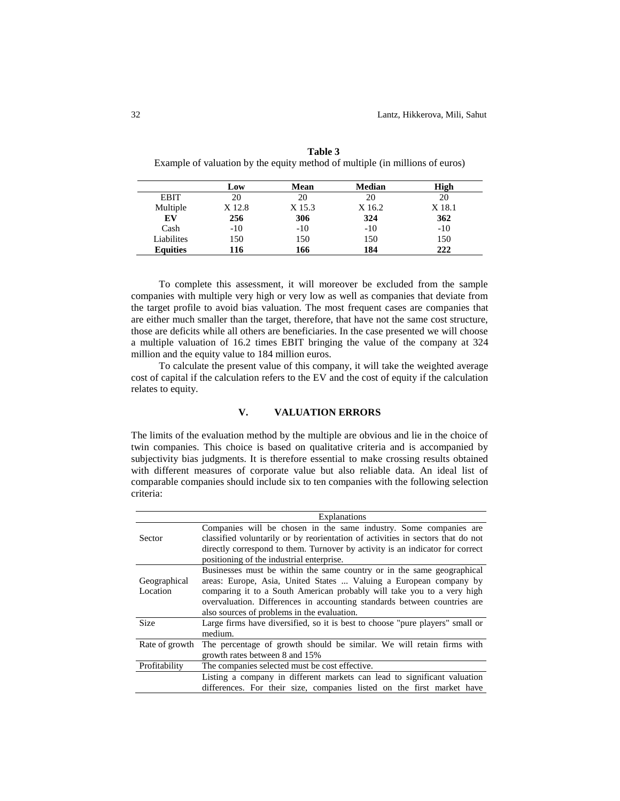|                 | Low    | Mean   | <b>Median</b> | High   |
|-----------------|--------|--------|---------------|--------|
| <b>EBIT</b>     | 20     | 20     | 20            | 20     |
| Multiple        | X 12.8 | X 15.3 | X 16.2        | X 18.1 |
| EV              | 256    | 306    | 324           | 362    |
| Cash            | $-10$  | $-10$  | $-10$         | $-10$  |
| Liabilites      | 150    | 150    | 150           | 150    |
| <b>Equities</b> | 116    | 166    | 184           | 222    |

**Table 3** Example of valuation by the equity method of multiple (in millions of euros)

To complete this assessment, it will moreover be excluded from the sample companies with multiple very high or very low as well as companies that deviate from the target profile to avoid bias valuation. The most frequent cases are companies that are either much smaller than the target, therefore, that have not the same cost structure, those are deficits while all others are beneficiaries. In the case presented we will choose a multiple valuation of 16.2 times EBIT bringing the value of the company at 324 million and the equity value to 184 million euros.

To calculate the present value of this company, it will take the weighted average cost of capital if the calculation refers to the EV and the cost of equity if the calculation relates to equity.

# **V. VALUATION ERRORS**

The limits of the evaluation method by the multiple are obvious and lie in the choice of twin companies. This choice is based on qualitative criteria and is accompanied by subjectivity bias judgments. It is therefore essential to make crossing results obtained with different measures of corporate value but also reliable data. An ideal list of comparable companies should include six to ten companies with the following selection criteria:

|                | Explanations                                                                    |
|----------------|---------------------------------------------------------------------------------|
|                | Companies will be chosen in the same industry. Some companies are               |
| Sector         | classified voluntarily or by reorientation of activities in sectors that do not |
|                | directly correspond to them. Turnover by activity is an indicator for correct   |
|                | positioning of the industrial enterprise.                                       |
|                | Businesses must be within the same country or in the same geographical          |
| Geographical   | areas: Europe, Asia, United States  Valuing a European company by               |
| Location       | comparing it to a South American probably will take you to a very high          |
|                | overvaluation. Differences in accounting standards between countries are        |
|                | also sources of problems in the evaluation.                                     |
| <b>Size</b>    | Large firms have diversified, so it is best to choose "pure players" small or   |
|                | medium.                                                                         |
| Rate of growth | The percentage of growth should be similar. We will retain firms with           |
|                | growth rates between 8 and 15%                                                  |
| Profitability  | The companies selected must be cost effective.                                  |
|                | Listing a company in different markets can lead to significant valuation        |
|                | differences. For their size, companies listed on the first market have          |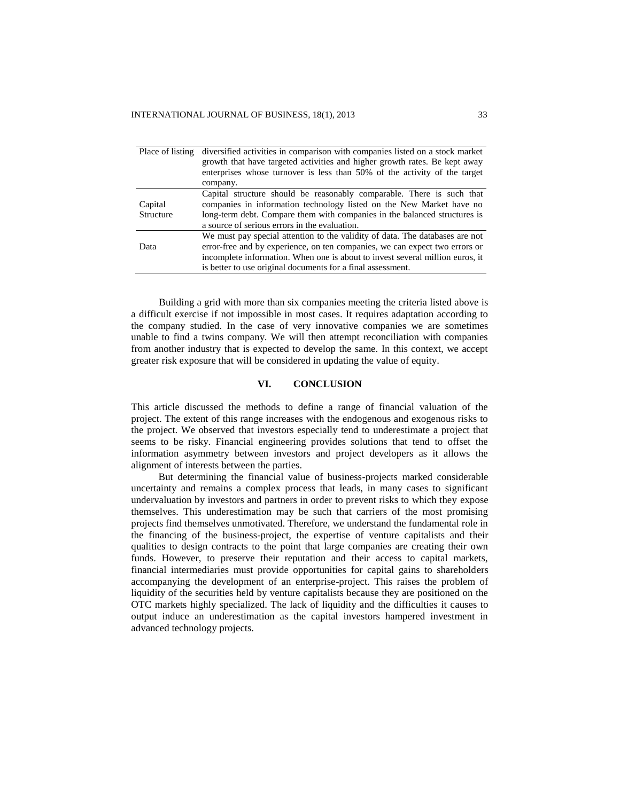| Place of listing | diversified activities in comparison with companies listed on a stock market<br>growth that have targeted activities and higher growth rates. Be kept away<br>enterprises whose turnover is less than 50% of the activity of the target |
|------------------|-----------------------------------------------------------------------------------------------------------------------------------------------------------------------------------------------------------------------------------------|
|                  | company.                                                                                                                                                                                                                                |
|                  | Capital structure should be reasonably comparable. There is such that                                                                                                                                                                   |
| Capital          | companies in information technology listed on the New Market have no                                                                                                                                                                    |
| Structure        | long-term debt. Compare them with companies in the balanced structures is                                                                                                                                                               |
|                  | a source of serious errors in the evaluation.                                                                                                                                                                                           |
|                  | We must pay special attention to the validity of data. The databases are not                                                                                                                                                            |
| Data             | error-free and by experience, on ten companies, we can expect two errors or                                                                                                                                                             |
|                  | incomplete information. When one is about to invest several million euros, it                                                                                                                                                           |
|                  | is better to use original documents for a final assessment.                                                                                                                                                                             |

Building a grid with more than six companies meeting the criteria listed above is a difficult exercise if not impossible in most cases. It requires adaptation according to the company studied. In the case of very innovative companies we are sometimes unable to find a twins company. We will then attempt reconciliation with companies from another industry that is expected to develop the same. In this context, we accept greater risk exposure that will be considered in updating the value of equity.

## **VI. CONCLUSION**

This article discussed the methods to define a range of financial valuation of the project. The extent of this range increases with the endogenous and exogenous risks to the project. We observed that investors especially tend to underestimate a project that seems to be risky. Financial engineering provides solutions that tend to offset the information asymmetry between investors and project developers as it allows the alignment of interests between the parties.

But determining the financial value of business-projects marked considerable uncertainty and remains a complex process that leads, in many cases to significant undervaluation by investors and partners in order to prevent risks to which they expose themselves. This underestimation may be such that carriers of the most promising projects find themselves unmotivated. Therefore, we understand the fundamental role in the financing of the business-project, the expertise of venture capitalists and their qualities to design contracts to the point that large companies are creating their own funds. However, to preserve their reputation and their access to capital markets, financial intermediaries must provide opportunities for capital gains to shareholders accompanying the development of an enterprise-project. This raises the problem of liquidity of the securities held by venture capitalists because they are positioned on the OTC markets highly specialized. The lack of liquidity and the difficulties it causes to output induce an underestimation as the capital investors hampered investment in advanced technology projects.